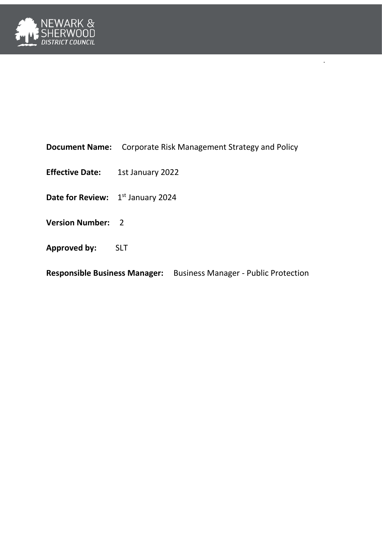

|  |  | <b>Document Name:</b> Corporate Risk Management Strategy and Policy |  |
|--|--|---------------------------------------------------------------------|--|
|--|--|---------------------------------------------------------------------|--|

l .

- **Effective Date:** 1st January 2022
- Date for Review: 1<sup>st</sup> January 2024
- **Version Number:** 2
- **Approved by:** SLT

**Responsible Business Manager:** Business Manager - Public Protection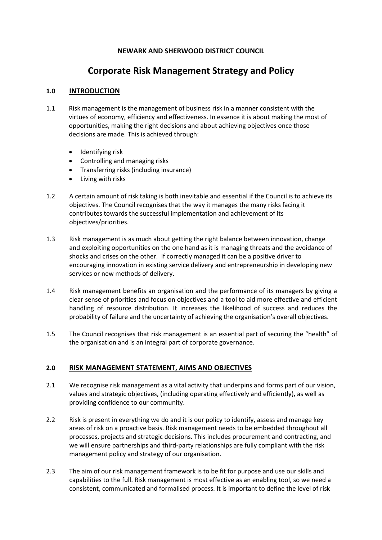# **NEWARK AND SHERWOOD DISTRICT COUNCIL**

# **Corporate Risk Management Strategy and Policy**

# **1.0 INTRODUCTION**

- 1.1 Risk management is the management of business risk in a manner consistent with the virtues of economy, efficiency and effectiveness. In essence it is about making the most of opportunities, making the right decisions and about achieving objectives once those decisions are made. This is achieved through:
	- Identifying risk
	- Controlling and managing risks
	- Transferring risks (including insurance)
	- Living with risks
- 1.2 A certain amount of risk taking is both inevitable and essential if the Council is to achieve its objectives. The Council recognises that the way it manages the many risks facing it contributes towards the successful implementation and achievement of its objectives/priorities.
- 1.3 Risk management is as much about getting the right balance between innovation, change and exploiting opportunities on the one hand as it is managing threats and the avoidance of shocks and crises on the other. If correctly managed it can be a positive driver to encouraging innovation in existing service delivery and entrepreneurship in developing new services or new methods of delivery.
- 1.4 Risk management benefits an organisation and the performance of its managers by giving a clear sense of priorities and focus on objectives and a tool to aid more effective and efficient handling of resource distribution. It increases the likelihood of success and reduces the probability of failure and the uncertainty of achieving the organisation's overall objectives.
- 1.5 The Council recognises that risk management is an essential part of securing the "health" of the organisation and is an integral part of corporate governance.

# **2.0 RISK MANAGEMENT STATEMENT, AIMS AND OBJECTIVES**

- 2.1 We recognise risk management as a vital activity that underpins and forms part of our vision, values and strategic objectives, (including operating effectively and efficiently), as well as providing confidence to our community.
- 2.2 Risk is present in everything we do and it is our policy to identify, assess and manage key areas of risk on a proactive basis. Risk management needs to be embedded throughout all processes, projects and strategic decisions. This includes procurement and contracting, and we will ensure partnerships and third-party relationships are fully compliant with the risk management policy and strategy of our organisation.
- 2.3 The aim of our risk management framework is to be fit for purpose and use our skills and capabilities to the full. Risk management is most effective as an enabling tool, so we need a consistent, communicated and formalised process. It is important to define the level of risk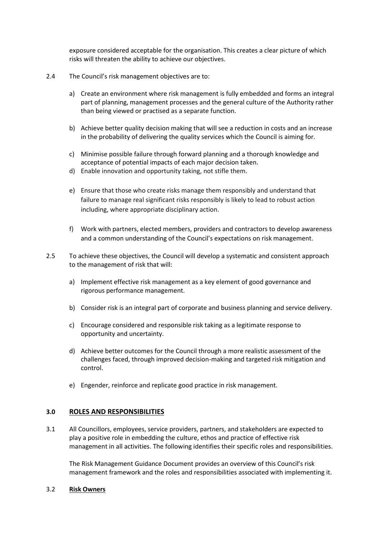exposure considered acceptable for the organisation. This creates a clear picture of which risks will threaten the ability to achieve our objectives.

- 2.4 The Council's risk management objectives are to:
	- a) Create an environment where risk management is fully embedded and forms an integral part of planning, management processes and the general culture of the Authority rather than being viewed or practised as a separate function.
	- b) Achieve better quality decision making that will see a reduction in costs and an increase in the probability of delivering the quality services which the Council is aiming for.
	- c) Minimise possible failure through forward planning and a thorough knowledge and acceptance of potential impacts of each major decision taken.
	- d) Enable innovation and opportunity taking, not stifle them.
	- e) Ensure that those who create risks manage them responsibly and understand that failure to manage real significant risks responsibly is likely to lead to robust action including, where appropriate disciplinary action.
	- f) Work with partners, elected members, providers and contractors to develop awareness and a common understanding of the Council's expectations on risk management.
- 2.5 To achieve these objectives, the Council will develop a systematic and consistent approach to the management of risk that will:
	- a) Implement effective risk management as a key element of good governance and rigorous performance management.
	- b) Consider risk is an integral part of corporate and business planning and service delivery.
	- c) Encourage considered and responsible risk taking as a legitimate response to opportunity and uncertainty.
	- d) Achieve better outcomes for the Council through a more realistic assessment of the challenges faced, through improved decision-making and targeted risk mitigation and control.
	- e) Engender, reinforce and replicate good practice in risk management.

# **3.0 ROLES AND RESPONSIBILITIES**

3.1 All Councillors, employees, service providers, partners, and stakeholders are expected to play a positive role in embedding the culture, ethos and practice of effective risk management in all activities. The following identifies their specific roles and responsibilities.

The Risk Management Guidance Document provides an overview of this Council's risk management framework and the roles and responsibilities associated with implementing it.

## 3.2 **Risk Owners**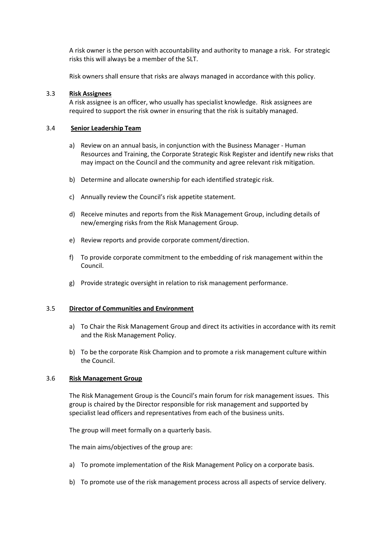A risk owner is the person with accountability and authority to manage a risk. For strategic risks this will always be a member of the SLT.

Risk owners shall ensure that risks are always managed in accordance with this policy.

#### 3.3 **Risk Assignees**

A risk assignee is an officer, who usually has specialist knowledge. Risk assignees are required to support the risk owner in ensuring that the risk is suitably managed.

#### 3.4 **Senior Leadership Team**

- a) Review on an annual basis, in conjunction with the Business Manager Human Resources and Training, the Corporate Strategic Risk Register and identify new risks that may impact on the Council and the community and agree relevant risk mitigation.
- b) Determine and allocate ownership for each identified strategic risk.
- c) Annually review the Council's risk appetite statement.
- d) Receive minutes and reports from the Risk Management Group, including details of new/emerging risks from the Risk Management Group.
- e) Review reports and provide corporate comment/direction.
- f) To provide corporate commitment to the embedding of risk management within the Council.
- g) Provide strategic oversight in relation to risk management performance.

#### 3.5 **Director of Communities and Environment**

- a) To Chair the Risk Management Group and direct its activities in accordance with its remit and the Risk Management Policy.
- b) To be the corporate Risk Champion and to promote a risk management culture within the Council.

#### 3.6 **Risk Management Group**

The Risk Management Group is the Council's main forum for risk management issues. This group is chaired by the Director responsible for risk management and supported by specialist lead officers and representatives from each of the business units.

The group will meet formally on a quarterly basis.

The main aims/objectives of the group are:

- a) To promote implementation of the Risk Management Policy on a corporate basis.
- b) To promote use of the risk management process across all aspects of service delivery.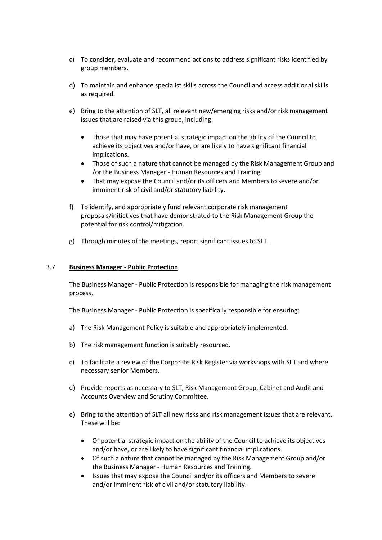- c) To consider, evaluate and recommend actions to address significant risks identified by group members.
- d) To maintain and enhance specialist skills across the Council and access additional skills as required.
- e) Bring to the attention of SLT, all relevant new/emerging risks and/or risk management issues that are raised via this group, including:
	- Those that may have potential strategic impact on the ability of the Council to achieve its objectives and/or have, or are likely to have significant financial implications.
	- Those of such a nature that cannot be managed by the Risk Management Group and /or the Business Manager - Human Resources and Training.
	- That may expose the Council and/or its officers and Members to severe and/or imminent risk of civil and/or statutory liability.
- f) To identify, and appropriately fund relevant corporate risk management proposals/initiatives that have demonstrated to the Risk Management Group the potential for risk control/mitigation.
- g) Through minutes of the meetings, report significant issues to SLT.

#### 3.7 **Business Manager - Public Protection**

The Business Manager - Public Protection is responsible for managing the risk management process.

The Business Manager - Public Protection is specifically responsible for ensuring:

- a) The Risk Management Policy is suitable and appropriately implemented.
- b) The risk management function is suitably resourced.
- c) To facilitate a review of the Corporate Risk Register via workshops with SLT and where necessary senior Members.
- d) Provide reports as necessary to SLT, Risk Management Group, Cabinet and Audit and Accounts Overview and Scrutiny Committee.
- e) Bring to the attention of SLT all new risks and risk management issues that are relevant. These will be:
	- Of potential strategic impact on the ability of the Council to achieve its objectives and/or have, or are likely to have significant financial implications.
	- Of such a nature that cannot be managed by the Risk Management Group and/or the Business Manager - Human Resources and Training.
	- Issues that may expose the Council and/or its officers and Members to severe and/or imminent risk of civil and/or statutory liability.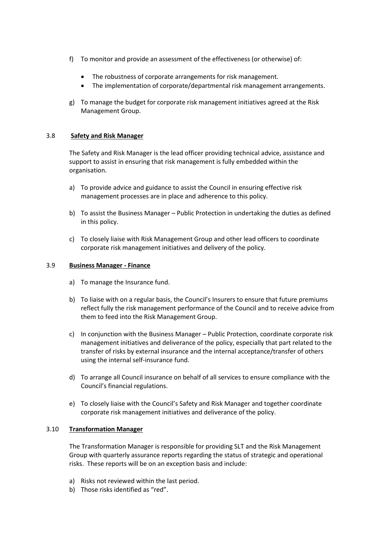- f) To monitor and provide an assessment of the effectiveness (or otherwise) of:
	- The robustness of corporate arrangements for risk management.
	- The implementation of corporate/departmental risk management arrangements.
- g) To manage the budget for corporate risk management initiatives agreed at the Risk Management Group.

## 3.8 **Safety and Risk Manager**

The Safety and Risk Manager is the lead officer providing technical advice, assistance and support to assist in ensuring that risk management is fully embedded within the organisation.

- a) To provide advice and guidance to assist the Council in ensuring effective risk management processes are in place and adherence to this policy.
- b) To assist the Business Manager Public Protection in undertaking the duties as defined in this policy.
- c) To closely liaise with Risk Management Group and other lead officers to coordinate corporate risk management initiatives and delivery of the policy.

#### 3.9 **Business Manager - Finance**

- a) To manage the Insurance fund.
- b) To liaise with on a regular basis, the Council's Insurers to ensure that future premiums reflect fully the risk management performance of the Council and to receive advice from them to feed into the Risk Management Group.
- c) In conjunction with the Business Manager Public Protection, coordinate corporate risk management initiatives and deliverance of the policy, especially that part related to the transfer of risks by external insurance and the internal acceptance/transfer of others using the internal self-insurance fund.
- d) To arrange all Council insurance on behalf of all services to ensure compliance with the Council's financial regulations.
- e) To closely liaise with the Council's Safety and Risk Manager and together coordinate corporate risk management initiatives and deliverance of the policy.

## 3.10 **Transformation Manager**

The Transformation Manager is responsible for providing SLT and the Risk Management Group with quarterly assurance reports regarding the status of strategic and operational risks. These reports will be on an exception basis and include:

- a) Risks not reviewed within the last period.
- b) Those risks identified as "red".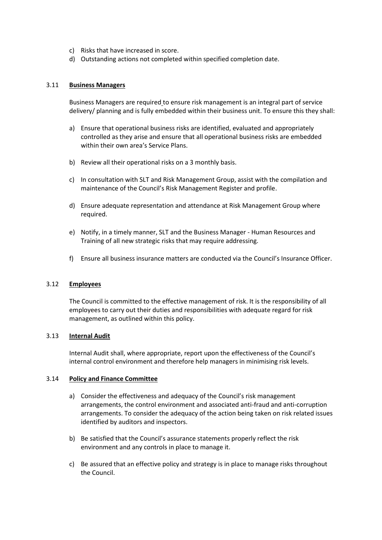- c) Risks that have increased in score.
- d) Outstanding actions not completed within specified completion date.

#### 3.11 **Business Managers**

Business Managers are required to ensure risk management is an integral part of service delivery/ planning and is fully embedded within their business unit. To ensure this they shall:

- a) Ensure that operational business risks are identified, evaluated and appropriately controlled as they arise and ensure that all operational business risks are embedded within their own area's Service Plans.
- b) Review all their operational risks on a 3 monthly basis.
- c) In consultation with SLT and Risk Management Group, assist with the compilation and maintenance of the Council's Risk Management Register and profile.
- d) Ensure adequate representation and attendance at Risk Management Group where required.
- e) Notify, in a timely manner, SLT and the Business Manager Human Resources and Training of all new strategic risks that may require addressing.
- f) Ensure all business insurance matters are conducted via the Council's Insurance Officer.

## 3.12 **Employees**

The Council is committed to the effective management of risk. It is the responsibility of all employees to carry out their duties and responsibilities with adequate regard for risk management, as outlined within this policy.

#### 3.13 **Internal Audit**

Internal Audit shall, where appropriate, report upon the effectiveness of the Council's internal control environment and therefore help managers in minimising risk levels.

#### 3.14 **Policy and Finance Committee**

- a) Consider the effectiveness and adequacy of the Council's risk management arrangements, the control environment and associated anti-fraud and anti-corruption arrangements. To consider the adequacy of the action being taken on risk related issues identified by auditors and inspectors.
- b) Be satisfied that the Council's assurance statements properly reflect the risk environment and any controls in place to manage it.
- c) Be assured that an effective policy and strategy is in place to manage risks throughout the Council.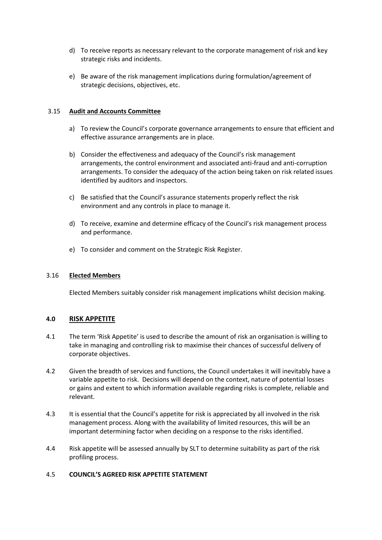- d) To receive reports as necessary relevant to the corporate management of risk and key strategic risks and incidents.
- e) Be aware of the risk management implications during formulation/agreement of strategic decisions, objectives, etc.

## 3.15 **Audit and Accounts Committee**

- a) To review the Council's corporate governance arrangements to ensure that efficient and effective assurance arrangements are in place.
- b) Consider the effectiveness and adequacy of the Council's risk management arrangements, the control environment and associated anti-fraud and anti-corruption arrangements. To consider the adequacy of the action being taken on risk related issues identified by auditors and inspectors.
- c) Be satisfied that the Council's assurance statements properly reflect the risk environment and any controls in place to manage it.
- d) To receive, examine and determine efficacy of the Council's risk management process and performance.
- e) To consider and comment on the Strategic Risk Register.

## 3.16 **Elected Members**

Elected Members suitably consider risk management implications whilst decision making.

## **4.0 RISK APPETITE**

- 4.1 The term 'Risk Appetite' is used to describe the amount of risk an organisation is willing to take in managing and controlling risk to maximise their chances of successful delivery of corporate objectives.
- 4.2 Given the breadth of services and functions, the Council undertakes it will inevitably have a variable appetite to risk. Decisions will depend on the context, nature of potential losses or gains and extent to which information available regarding risks is complete, reliable and relevant.
- 4.3 It is essential that the Council's appetite for risk is appreciated by all involved in the risk management process. Along with the availability of limited resources, this will be an important determining factor when deciding on a response to the risks identified.
- 4.4 Risk appetite will be assessed annually by SLT to determine suitability as part of the risk profiling process.

## 4.5 **COUNCIL'S AGREED RISK APPETITE STATEMENT**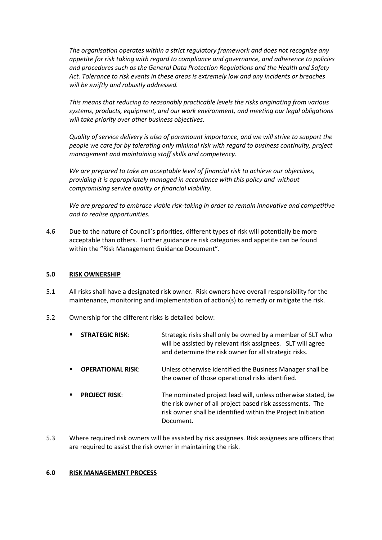*The organisation operates within a strict regulatory framework and does not recognise any appetite for risk taking with regard to compliance and governance, and adherence to policies and procedures such as the General Data Protection Regulations and the Health and Safety Act. Tolerance to risk events in these areas is extremely low and any incidents or breaches will be swiftly and robustly addressed.*

*This means that reducing to reasonably practicable levels the risks originating from various systems, products, equipment, and our work environment, and meeting our legal obligations will take priority over other business objectives.*

*Quality of service delivery is also of paramount importance, and we will strive to support the people we care for by tolerating only minimal risk with regard to business continuity, project management and maintaining staff skills and competency.*

*We are prepared to take an acceptable level of financial risk to achieve our objectives, providing it is appropriately managed in accordance with this policy and without compromising service quality or financial viability.* 

*We are prepared to embrace viable risk-taking in order to remain innovative and competitive and to realise opportunities.*

4.6 Due to the nature of Council's priorities, different types of risk will potentially be more acceptable than others. Further guidance re risk categories and appetite can be found within the "Risk Management Guidance Document".

## **5.0 RISK OWNERSHIP**

- 5.1 All risks shall have a designated risk owner. Risk owners have overall responsibility for the maintenance, monitoring and implementation of action(s) to remedy or mitigate the risk.
- 5.2 Ownership for the different risks is detailed below:
	- **STRATEGIC RISK:** Strategic risks shall only be owned by a member of SLT who will be assisted by relevant risk assignees. SLT will agree and determine the risk owner for all strategic risks.
	- **OPERATIONAL RISK**: Unless otherwise identified the Business Manager shall be the owner of those operational risks identified.
	- **PROJECT RISK:** The nominated project lead will, unless otherwise stated, be the risk owner of all project based risk assessments. The risk owner shall be identified within the Project Initiation Document.
- 5.3 Where required risk owners will be assisted by risk assignees. Risk assignees are officers that are required to assist the risk owner in maintaining the risk.

## **6.0 RISK MANAGEMENT PROCESS**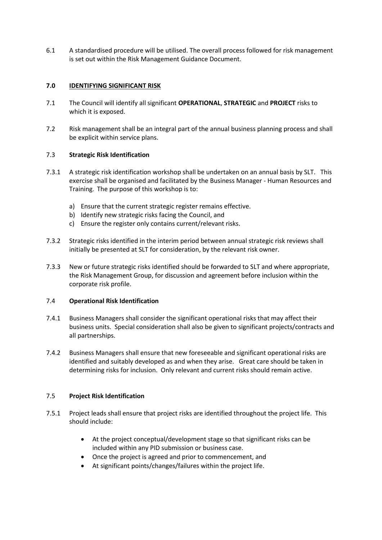6.1 A standardised procedure will be utilised. The overall process followed for risk management is set out within the Risk Management Guidance Document.

# **7.0 IDENTIFYING SIGNIFICANT RISK**

- 7.1 The Council will identify all significant **OPERATIONAL**, **STRATEGIC** and **PROJECT** risks to which it is exposed.
- 7.2 Risk management shall be an integral part of the annual business planning process and shall be explicit within service plans.

# 7.3 **Strategic Risk Identification**

- 7.3.1 A strategic risk identification workshop shall be undertaken on an annual basis by SLT. This exercise shall be organised and facilitated by the Business Manager - Human Resources and Training. The purpose of this workshop is to:
	- a) Ensure that the current strategic register remains effective.
	- b) Identify new strategic risks facing the Council, and
	- c) Ensure the register only contains current/relevant risks.
- 7.3.2 Strategic risks identified in the interim period between annual strategic risk reviews shall initially be presented at SLT for consideration, by the relevant risk owner.
- 7.3.3 New or future strategic risks identified should be forwarded to SLT and where appropriate, the Risk Management Group, for discussion and agreement before inclusion within the corporate risk profile.

## 7.4 **Operational Risk Identification**

- 7.4.1 Business Managers shall consider the significant operational risks that may affect their business units. Special consideration shall also be given to significant projects/contracts and all partnerships.
- 7.4.2 Business Managers shall ensure that new foreseeable and significant operational risks are identified and suitably developed as and when they arise. Great care should be taken in determining risks for inclusion. Only relevant and current risks should remain active.

## 7.5 **Project Risk Identification**

- 7.5.1 Project leads shall ensure that project risks are identified throughout the project life. This should include:
	- At the project conceptual/development stage so that significant risks can be included within any PID submission or business case.
	- Once the project is agreed and prior to commencement, and
	- At significant points/changes/failures within the project life.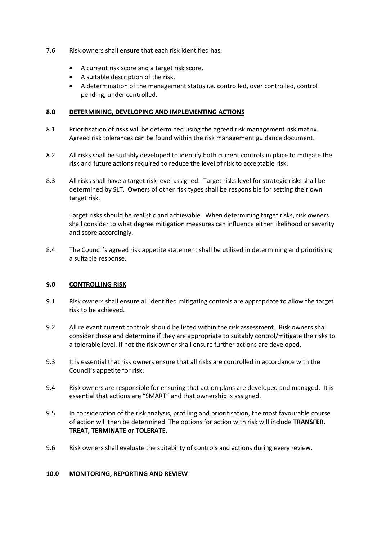- 7.6 Risk owners shall ensure that each risk identified has:
	- A current risk score and a target risk score.
	- A suitable description of the risk.
	- A determination of the management status i.e. controlled, over controlled, control pending, under controlled.

# **8.0 DETERMINING, DEVELOPING AND IMPLEMENTING ACTIONS**

- 8.1 Prioritisation of risks will be determined using the agreed risk management risk matrix. Agreed risk tolerances can be found within the risk management guidance document.
- 8.2 All risks shall be suitably developed to identify both current controls in place to mitigate the risk and future actions required to reduce the level of risk to acceptable risk.
- 8.3 All risks shall have a target risk level assigned. Target risks level for strategic risks shall be determined by SLT. Owners of other risk types shall be responsible for setting their own target risk.

Target risks should be realistic and achievable. When determining target risks, risk owners shall consider to what degree mitigation measures can influence either likelihood or severity and score accordingly.

8.4 The Council's agreed risk appetite statement shall be utilised in determining and prioritising a suitable response.

## **9.0 CONTROLLING RISK**

- 9.1 Risk owners shall ensure all identified mitigating controls are appropriate to allow the target risk to be achieved.
- 9.2 All relevant current controls should be listed within the risk assessment. Risk owners shall consider these and determine if they are appropriate to suitably control/mitigate the risks to a tolerable level. If not the risk owner shall ensure further actions are developed.
- 9.3 It is essential that risk owners ensure that all risks are controlled in accordance with the Council's appetite for risk.
- 9.4 Risk owners are responsible for ensuring that action plans are developed and managed. It is essential that actions are "SMART" and that ownership is assigned.
- 9.5 In consideration of the risk analysis, profiling and prioritisation, the most favourable course of action will then be determined. The options for action with risk will include **TRANSFER, TREAT, TERMINATE or TOLERATE.**
- 9.6 Risk owners shall evaluate the suitability of controls and actions during every review.

## **10.0 MONITORING, REPORTING AND REVIEW**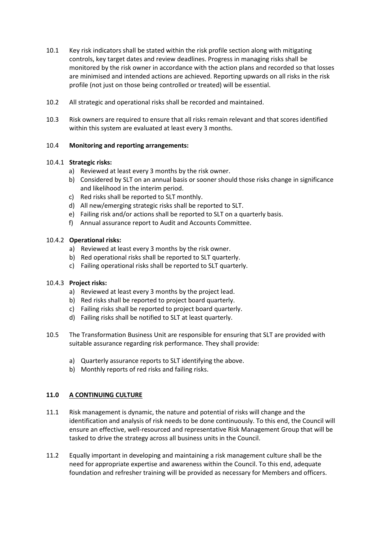- 10.1 Key risk indicators shall be stated within the risk profile section along with mitigating controls, key target dates and review deadlines. Progress in managing risks shall be monitored by the risk owner in accordance with the action plans and recorded so that losses are minimised and intended actions are achieved. Reporting upwards on all risks in the risk profile (not just on those being controlled or treated) will be essential.
- 10.2 All strategic and operational risks shall be recorded and maintained.
- 10.3 Risk owners are required to ensure that all risks remain relevant and that scores identified within this system are evaluated at least every 3 months.

## 10.4 **Monitoring and reporting arrangements:**

# 10.4.1 **Strategic risks:**

- a) Reviewed at least every 3 months by the risk owner.
- b) Considered by SLT on an annual basis or sooner should those risks change in significance and likelihood in the interim period.
- c) Red risks shall be reported to SLT monthly.
- d) All new/emerging strategic risks shall be reported to SLT.
- e) Failing risk and/or actions shall be reported to SLT on a quarterly basis.
- f) Annual assurance report to Audit and Accounts Committee.

# 10.4.2 **Operational risks:**

- a) Reviewed at least every 3 months by the risk owner.
- b) Red operational risks shall be reported to SLT quarterly.
- c) Failing operational risks shall be reported to SLT quarterly.

## 10.4.3 **Project risks:**

- a) Reviewed at least every 3 months by the project lead.
- b) Red risks shall be reported to project board quarterly.
- c) Failing risks shall be reported to project board quarterly.
- d) Failing risks shall be notified to SLT at least quarterly.
- 10.5 The Transformation Business Unit are responsible for ensuring that SLT are provided with suitable assurance regarding risk performance. They shall provide:
	- a) Quarterly assurance reports to SLT identifying the above.
	- b) Monthly reports of red risks and failing risks.

## **11.0 A CONTINUING CULTURE**

- 11.1 Risk management is dynamic, the nature and potential of risks will change and the identification and analysis of risk needs to be done continuously. To this end, the Council will ensure an effective, well-resourced and representative Risk Management Group that will be tasked to drive the strategy across all business units in the Council.
- 11.2 Equally important in developing and maintaining a risk management culture shall be the need for appropriate expertise and awareness within the Council. To this end, adequate foundation and refresher training will be provided as necessary for Members and officers.